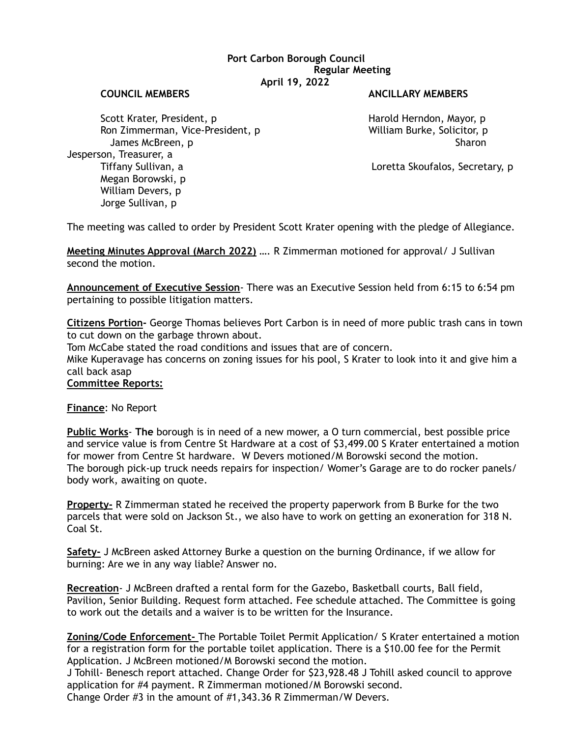## **Port Carbon Borough Council Regular Meeting April 19, 2022**

#### **COUNCIL MEMBERS ANCILLARY MEMBERS**

Scott Krater, President, p Andreas Harold Herndon, Mayor, p Harold Herndon, Mayor, p Ron Zimmerman, Vice-President, p William Burke, Solicitor, p James McBreen, p Sharon Sharon Sharon Sharon Sharon Sharon Sharon Sharon Sharon Sharon Sharon Sharon Sharon Sharon Jesperson, Treasurer, a Tiffany Sullivan, a Loretta Skoufalos, Secretary, p Megan Borowski, p William Devers, p Jorge Sullivan, p

The meeting was called to order by President Scott Krater opening with the pledge of Allegiance.

**Meeting Minutes Approval (March 2022)** …. R Zimmerman motioned for approval/ J Sullivan second the motion.

**Announcement of Executive Session**- There was an Executive Session held from 6:15 to 6:54 pm pertaining to possible litigation matters.

**Citizens Portion-** George Thomas believes Port Carbon is in need of more public trash cans in town to cut down on the garbage thrown about.

Tom McCabe stated the road conditions and issues that are of concern.

Mike Kuperavage has concerns on zoning issues for his pool, S Krater to look into it and give him a call back asap

## **Committee Reports:**

**Finance**: No Report

**Public Works**- **The** borough is in need of a new mower, a O turn commercial, best possible price and service value is from Centre St Hardware at a cost of \$3,499.00 S Krater entertained a motion for mower from Centre St hardware. W Devers motioned/M Borowski second the motion. The borough pick-up truck needs repairs for inspection/ Womer's Garage are to do rocker panels/ body work, awaiting on quote.

**Property-** R Zimmerman stated he received the property paperwork from B Burke for the two parcels that were sold on Jackson St., we also have to work on getting an exoneration for 318 N. Coal St.

**Safety-** J McBreen asked Attorney Burke a question on the burning Ordinance, if we allow for burning: Are we in any way liable? Answer no.

**Recreation**- J McBreen drafted a rental form for the Gazebo, Basketball courts, Ball field, Pavilion, Senior Building. Request form attached. Fee schedule attached. The Committee is going to work out the details and a waiver is to be written for the Insurance.

**Zoning/Code Enforcement-** The Portable Toilet Permit Application/ S Krater entertained a motion for a registration form for the portable toilet application. There is a \$10.00 fee for the Permit Application. J McBreen motioned/M Borowski second the motion.

J Tohill- Benesch report attached. Change Order for \$23,928.48 J Tohill asked council to approve application for #4 payment. R Zimmerman motioned/M Borowski second.

Change Order #3 in the amount of #1,343.36 R Zimmerman/W Devers.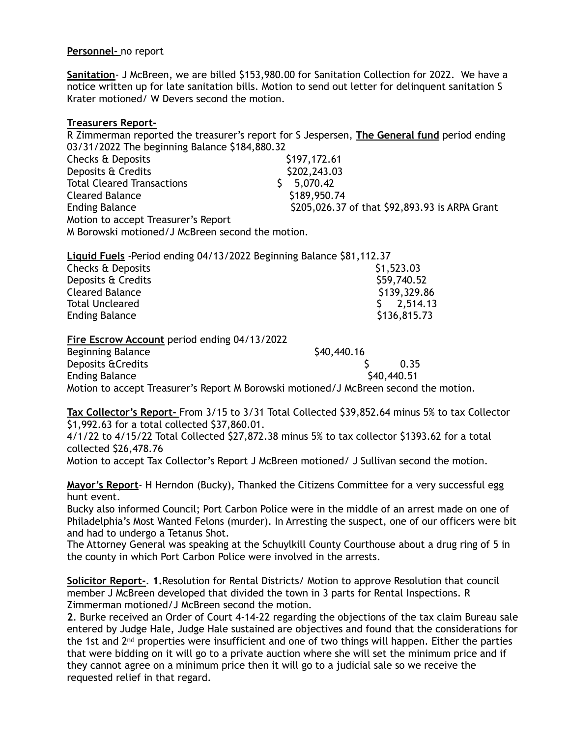# **Personnel-** no report

**Sanitation**- J McBreen, we are billed \$153,980.00 for Sanitation Collection for 2022. We have a notice written up for late sanitation bills. Motion to send out letter for delinquent sanitation S Krater motioned/ W Devers second the motion.

# **Treasurers Report-**

R Zimmerman reported the treasurer's report for S Jespersen, **The General fund** period ending 03/31/2022 The beginning Balance \$184,880.32

| Checks & Deposits                                | \$197,172.61                                   |
|--------------------------------------------------|------------------------------------------------|
| Deposits & Credits                               | \$202,243.03                                   |
| <b>Total Cleared Transactions</b>                | 5,070.42                                       |
| <b>Cleared Balance</b>                           | \$189,950.74                                   |
| <b>Ending Balance</b>                            | \$205,026.37 of that \$92,893.93 is ARPA Grant |
| Motion to accept Treasurer's Report              |                                                |
| M Borowski motioned/J McBreen second the motion. |                                                |
|                                                  |                                                |

| Liquid Fuels - Period ending 04/13/2022 Beginning Balance \$81,112.37 |              |
|-----------------------------------------------------------------------|--------------|
| Checks & Deposits                                                     | \$1,523.03   |
| Deposits & Credits                                                    | \$59,740.52  |
| Cleared Balance                                                       | \$139,329.86 |
| <b>Total Uncleared</b>                                                | $5$ 2.514.13 |
| <b>Ending Balance</b>                                                 | \$136,815.73 |

**Fire Escrow Account** period ending 04/13/2022

Beginning Balance \$40,440.16 Deposits &Credits  $\sim$  0.35 Ending Balance **\$40,440.51** Motion to accept Treasurer's Report M Borowski motioned/J McBreen second the motion.

**Tax Collector's Report-** From 3/15 to 3/31 Total Collected \$39,852.64 minus 5% to tax Collector \$1,992.63 for a total collected \$37,860.01.

4/1/22 to 4/15/22 Total Collected \$27,872.38 minus 5% to tax collector \$1393.62 for a total collected \$26,478.76

Motion to accept Tax Collector's Report J McBreen motioned/ J Sullivan second the motion.

**Mayor's Report**- H Herndon (Bucky), Thanked the Citizens Committee for a very successful egg hunt event.

Bucky also informed Council; Port Carbon Police were in the middle of an arrest made on one of Philadelphia's Most Wanted Felons (murder). In Arresting the suspect, one of our officers were bit and had to undergo a Tetanus Shot.

The Attorney General was speaking at the Schuylkill County Courthouse about a drug ring of 5 in the county in which Port Carbon Police were involved in the arrests.

**Solicitor Report-**. **1.**Resolution for Rental Districts/ Motion to approve Resolution that council member J McBreen developed that divided the town in 3 parts for Rental Inspections. R Zimmerman motioned/J McBreen second the motion.

**2**. Burke received an Order of Court 4-14-22 regarding the objections of the tax claim Bureau sale entered by Judge Hale, Judge Hale sustained are objectives and found that the considerations for the 1st and  $2<sup>nd</sup>$  properties were insufficient and one of two things will happen. Either the parties that were bidding on it will go to a private auction where she will set the minimum price and if they cannot agree on a minimum price then it will go to a judicial sale so we receive the requested relief in that regard.